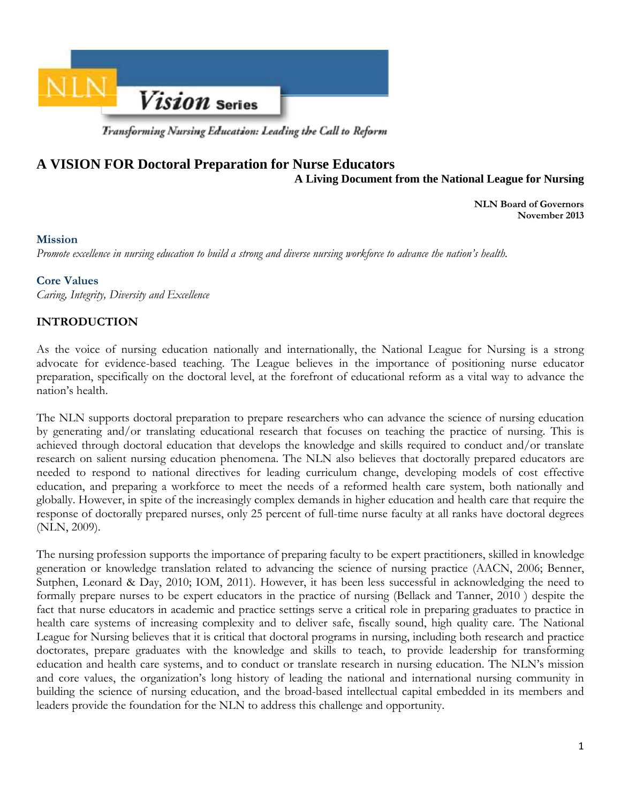

Transforming Nursing Education: Leading the Call to Reform

# **A VISION FOR Doctoral Preparation for Nurse Educators A Living Document from the National League for Nursing**

**NLN Board of Governors November 2013** 

### **Mission**

*Promote excellence in nursing education to build a strong and diverse nursing workforce to advance the nation's health.* 

#### **Core Values**

*Caring, Integrity, Diversity and Excellence* 

# **INTRODUCTION**

As the voice of nursing education nationally and internationally, the National League for Nursing is a strong advocate for evidence-based teaching. The League believes in the importance of positioning nurse educator preparation, specifically on the doctoral level, at the forefront of educational reform as a vital way to advance the nation's health.

The NLN supports doctoral preparation to prepare researchers who can advance the science of nursing education by generating and/or translating educational research that focuses on teaching the practice of nursing. This is achieved through doctoral education that develops the knowledge and skills required to conduct and/or translate research on salient nursing education phenomena. The NLN also believes that doctorally prepared educators are needed to respond to national directives for leading curriculum change, developing models of cost effective education, and preparing a workforce to meet the needs of a reformed health care system, both nationally and globally. However, in spite of the increasingly complex demands in higher education and health care that require the response of doctorally prepared nurses, only 25 percent of full-time nurse faculty at all ranks have doctoral degrees (NLN, 2009).

The nursing profession supports the importance of preparing faculty to be expert practitioners, skilled in knowledge generation or knowledge translation related to advancing the science of nursing practice (AACN, 2006; Benner, Sutphen, Leonard & Day, 2010; IOM, 2011). However, it has been less successful in acknowledging the need to formally prepare nurses to be expert educators in the practice of nursing (Bellack and Tanner, 2010 ) despite the fact that nurse educators in academic and practice settings serve a critical role in preparing graduates to practice in health care systems of increasing complexity and to deliver safe, fiscally sound, high quality care. The National League for Nursing believes that it is critical that doctoral programs in nursing, including both research and practice doctorates, prepare graduates with the knowledge and skills to teach, to provide leadership for transforming education and health care systems, and to conduct or translate research in nursing education. The NLN's mission and core values, the organization's long history of leading the national and international nursing community in building the science of nursing education, and the broad-based intellectual capital embedded in its members and leaders provide the foundation for the NLN to address this challenge and opportunity.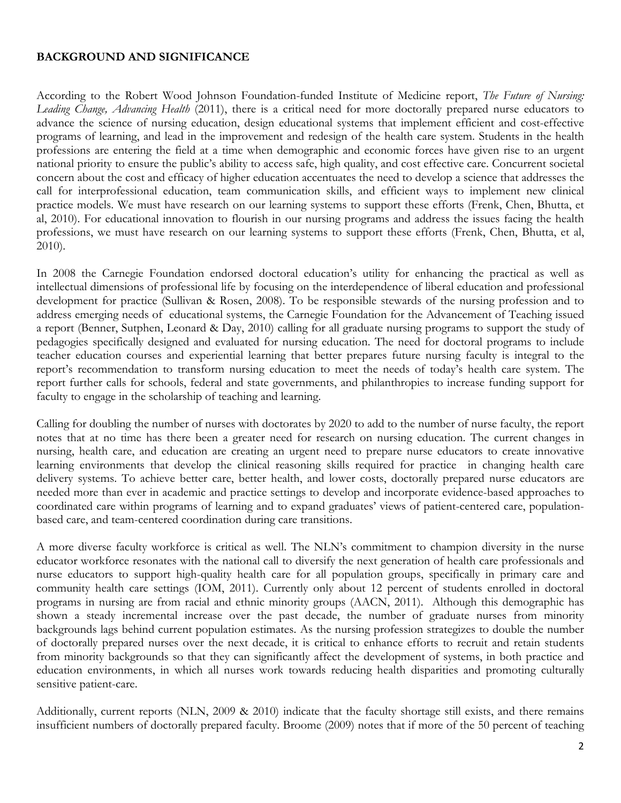### **BACKGROUND AND SIGNIFICANCE**

According to the Robert Wood Johnson Foundation-funded Institute of Medicine report, *The Future of Nursing: Leading Change, Advancing Health* (2011), there is a critical need for more doctorally prepared nurse educators to advance the science of nursing education, design educational systems that implement efficient and cost-effective programs of learning, and lead in the improvement and redesign of the health care system. Students in the health professions are entering the field at a time when demographic and economic forces have given rise to an urgent national priority to ensure the public's ability to access safe, high quality, and cost effective care. Concurrent societal concern about the cost and efficacy of higher education accentuates the need to develop a science that addresses the call for interprofessional education, team communication skills, and efficient ways to implement new clinical practice models. We must have research on our learning systems to support these efforts (Frenk, Chen, Bhutta, et al, 2010). For educational innovation to flourish in our nursing programs and address the issues facing the health professions, we must have research on our learning systems to support these efforts (Frenk, Chen, Bhutta, et al, 2010).

In 2008 the Carnegie Foundation endorsed doctoral education's utility for enhancing the practical as well as intellectual dimensions of professional life by focusing on the interdependence of liberal education and professional development for practice (Sullivan & Rosen, 2008). To be responsible stewards of the nursing profession and to address emerging needs of educational systems, the Carnegie Foundation for the Advancement of Teaching issued a report (Benner, Sutphen, Leonard & Day, 2010) calling for all graduate nursing programs to support the study of pedagogies specifically designed and evaluated for nursing education. The need for doctoral programs to include teacher education courses and experiential learning that better prepares future nursing faculty is integral to the report's recommendation to transform nursing education to meet the needs of today's health care system. The report further calls for schools, federal and state governments, and philanthropies to increase funding support for faculty to engage in the scholarship of teaching and learning.

Calling for doubling the number of nurses with doctorates by 2020 to add to the number of nurse faculty, the report notes that at no time has there been a greater need for research on nursing education. The current changes in nursing, health care, and education are creating an urgent need to prepare nurse educators to create innovative learning environments that develop the clinical reasoning skills required for practice in changing health care delivery systems. To achieve better care, better health, and lower costs, doctorally prepared nurse educators are needed more than ever in academic and practice settings to develop and incorporate evidence-based approaches to coordinated care within programs of learning and to expand graduates' views of patient-centered care, populationbased care, and team-centered coordination during care transitions.

A more diverse faculty workforce is critical as well. The NLN's commitment to champion diversity in the nurse educator workforce resonates with the national call to diversify the next generation of health care professionals and nurse educators to support high-quality health care for all population groups, specifically in primary care and community health care settings (IOM, 2011). Currently only about 12 percent of students enrolled in doctoral programs in nursing are from racial and ethnic minority groups (AACN, 2011). Although this demographic has shown a steady incremental increase over the past decade, the number of graduate nurses from minority backgrounds lags behind current population estimates. As the nursing profession strategizes to double the number of doctorally prepared nurses over the next decade, it is critical to enhance efforts to recruit and retain students from minority backgrounds so that they can significantly affect the development of systems, in both practice and education environments, in which all nurses work towards reducing health disparities and promoting culturally sensitive patient-care.

Additionally, current reports (NLN, 2009 & 2010) indicate that the faculty shortage still exists, and there remains insufficient numbers of doctorally prepared faculty. Broome (2009) notes that if more of the 50 percent of teaching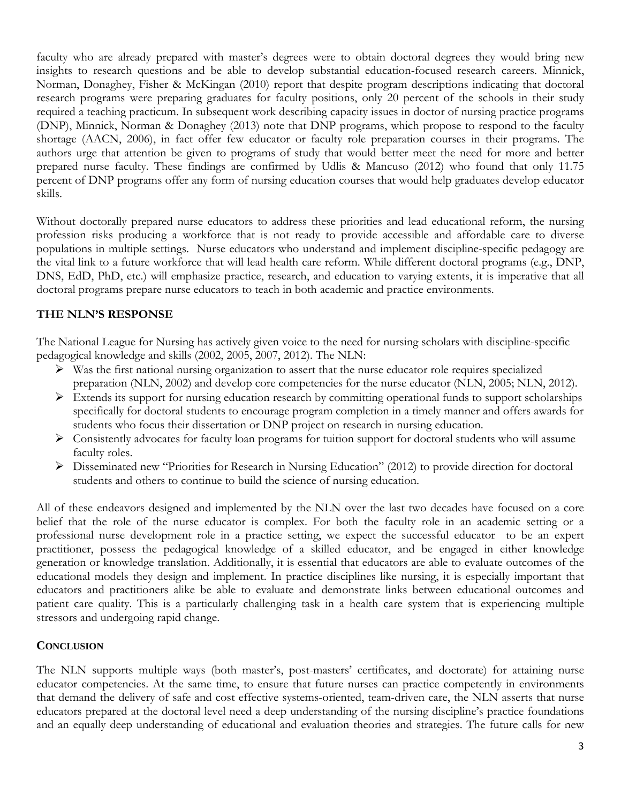faculty who are already prepared with master's degrees were to obtain doctoral degrees they would bring new insights to research questions and be able to develop substantial education-focused research careers. Minnick, Norman, Donaghey, Fisher & McKingan (2010) report that despite program descriptions indicating that doctoral research programs were preparing graduates for faculty positions, only 20 percent of the schools in their study required a teaching practicum. In subsequent work describing capacity issues in doctor of nursing practice programs (DNP), Minnick, Norman & Donaghey (2013) note that DNP programs, which propose to respond to the faculty shortage (AACN, 2006), in fact offer few educator or faculty role preparation courses in their programs. The authors urge that attention be given to programs of study that would better meet the need for more and better prepared nurse faculty. These findings are confirmed by Udlis & Mancuso (2012) who found that only 11.75 percent of DNP programs offer any form of nursing education courses that would help graduates develop educator skills.

Without doctorally prepared nurse educators to address these priorities and lead educational reform, the nursing profession risks producing a workforce that is not ready to provide accessible and affordable care to diverse populations in multiple settings. Nurse educators who understand and implement discipline-specific pedagogy are the vital link to a future workforce that will lead health care reform. While different doctoral programs (e.g., DNP, DNS, EdD, PhD, etc.) will emphasize practice, research, and education to varying extents, it is imperative that all doctoral programs prepare nurse educators to teach in both academic and practice environments.

# **THE NLN'S RESPONSE**

The National League for Nursing has actively given voice to the need for nursing scholars with discipline-specific pedagogical knowledge and skills (2002, 2005, 2007, 2012). The NLN:

- $\triangleright$  Was the first national nursing organization to assert that the nurse educator role requires specialized preparation (NLN, 2002) and develop core competencies for the nurse educator (NLN, 2005; NLN, 2012).
- Extends its support for nursing education research by committing operational funds to support scholarships specifically for doctoral students to encourage program completion in a timely manner and offers awards for students who focus their dissertation or DNP project on research in nursing education.
- $\triangleright$  Consistently advocates for faculty loan programs for tuition support for doctoral students who will assume faculty roles.
- Disseminated new "Priorities for Research in Nursing Education" (2012) to provide direction for doctoral students and others to continue to build the science of nursing education.

All of these endeavors designed and implemented by the NLN over the last two decades have focused on a core belief that the role of the nurse educator is complex. For both the faculty role in an academic setting or a professional nurse development role in a practice setting, we expect the successful educator to be an expert practitioner, possess the pedagogical knowledge of a skilled educator, and be engaged in either knowledge generation or knowledge translation. Additionally, it is essential that educators are able to evaluate outcomes of the educational models they design and implement. In practice disciplines like nursing, it is especially important that educators and practitioners alike be able to evaluate and demonstrate links between educational outcomes and patient care quality. This is a particularly challenging task in a health care system that is experiencing multiple stressors and undergoing rapid change.

# **CONCLUSION**

The NLN supports multiple ways (both master's, post-masters' certificates, and doctorate) for attaining nurse educator competencies. At the same time, to ensure that future nurses can practice competently in environments that demand the delivery of safe and cost effective systems-oriented, team-driven care, the NLN asserts that nurse educators prepared at the doctoral level need a deep understanding of the nursing discipline's practice foundations and an equally deep understanding of educational and evaluation theories and strategies. The future calls for new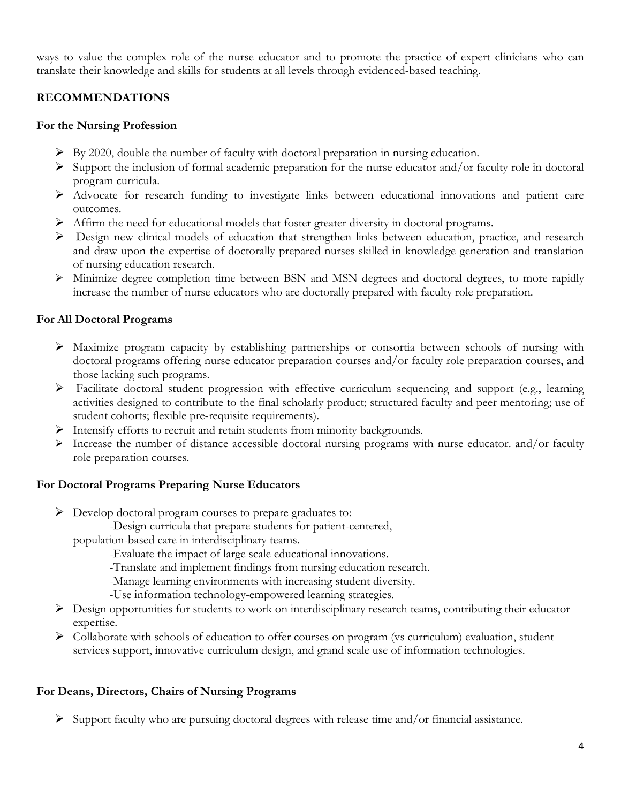ways to value the complex role of the nurse educator and to promote the practice of expert clinicians who can translate their knowledge and skills for students at all levels through evidenced-based teaching.

# **RECOMMENDATIONS**

### **For the Nursing Profession**

- $\triangleright$  By 2020, double the number of faculty with doctoral preparation in nursing education.
- $\triangleright$  Support the inclusion of formal academic preparation for the nurse educator and/or faculty role in doctoral program curricula.
- Advocate for research funding to investigate links between educational innovations and patient care outcomes.
- Affirm the need for educational models that foster greater diversity in doctoral programs.
- $\triangleright$  Design new clinical models of education that strengthen links between education, practice, and research and draw upon the expertise of doctorally prepared nurses skilled in knowledge generation and translation of nursing education research.
- Minimize degree completion time between BSN and MSN degrees and doctoral degrees, to more rapidly increase the number of nurse educators who are doctorally prepared with faculty role preparation.

# **For All Doctoral Programs**

- Maximize program capacity by establishing partnerships or consortia between schools of nursing with doctoral programs offering nurse educator preparation courses and/or faculty role preparation courses, and those lacking such programs.
- Facilitate doctoral student progression with effective curriculum sequencing and support (e.g., learning activities designed to contribute to the final scholarly product; structured faculty and peer mentoring; use of student cohorts; flexible pre-requisite requirements).
- $\triangleright$  Intensify efforts to recruit and retain students from minority backgrounds.
- $\triangleright$  Increase the number of distance accessible doctoral nursing programs with nurse educator. and/or faculty role preparation courses.

# **For Doctoral Programs Preparing Nurse Educators**

- Develop doctoral program courses to prepare graduates to:
	- -Design curricula that prepare students for patient-centered,

population-based care in interdisciplinary teams.

-Evaluate the impact of large scale educational innovations.

-Translate and implement findings from nursing education research.

-Manage learning environments with increasing student diversity.

-Use information technology-empowered learning strategies.

- Design opportunities for students to work on interdisciplinary research teams, contributing their educator expertise.
- Collaborate with schools of education to offer courses on program (vs curriculum) evaluation, student services support, innovative curriculum design, and grand scale use of information technologies.

# **For Deans, Directors, Chairs of Nursing Programs**

 $\triangleright$  Support faculty who are pursuing doctoral degrees with release time and/or financial assistance.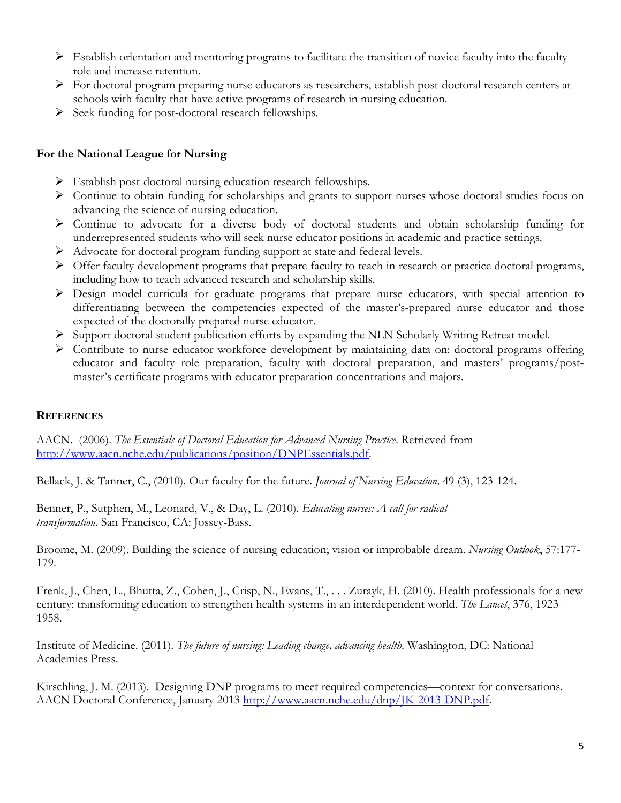- $\triangleright$  Establish orientation and mentoring programs to facilitate the transition of novice faculty into the faculty role and increase retention.
- $\triangleright$  For doctoral program preparing nurse educators as researchers, establish post-doctoral research centers at schools with faculty that have active programs of research in nursing education.
- $\triangleright$  Seek funding for post-doctoral research fellowships.

### **For the National League for Nursing**

- $\triangleright$  Establish post-doctoral nursing education research fellowships.
- $\triangleright$  Continue to obtain funding for scholarships and grants to support nurses whose doctoral studies focus on advancing the science of nursing education.
- $\triangleright$  Continue to advocate for a diverse body of doctoral students and obtain scholarship funding for underrepresented students who will seek nurse educator positions in academic and practice settings.
- Advocate for doctoral program funding support at state and federal levels.
- $\triangleright$  Offer faculty development programs that prepare faculty to teach in research or practice doctoral programs, including how to teach advanced research and scholarship skills.
- Design model curricula for graduate programs that prepare nurse educators, with special attention to differentiating between the competencies expected of the master's-prepared nurse educator and those expected of the doctorally prepared nurse educator.
- Support doctoral student publication efforts by expanding the NLN Scholarly Writing Retreat model.
- $\triangleright$  Contribute to nurse educator workforce development by maintaining data on: doctoral programs offering educator and faculty role preparation, faculty with doctoral preparation, and masters' programs/postmaster's certificate programs with educator preparation concentrations and majors.

### **REFERENCES**

AACN. (2006). *The Essentials of Doctoral Education for Advanced Nursing Practice*. Retrieved from http://www.aacn.nche.edu/publications/position/DNPEssentials.pdf.

Bellack, J. & Tanner, C., (2010). Our faculty for the future. *Journal of Nursing Education,* 49 (3), 123-124.

Benner, P., Sutphen, M., Leonard, V., & Day, L. (2010). *Educating nurses: A call for radical transformation.* San Francisco, CA: Jossey-Bass.

Broome, M. (2009). Building the science of nursing education; vision or improbable dream. *Nursing Outlook*, 57:177- 179.

Frenk, J., Chen, L., Bhutta, Z., Cohen, J., Crisp, N., Evans, T., . . . Zurayk, H. (2010). Health professionals for a new century: transforming education to strengthen health systems in an interdependent world. *The Lancet*, 376, 1923- 1958.

Institute of Medicine. (2011). *The future of nursing: Leading change, advancing health*. Washington, DC: National Academies Press.

Kirschling, J. M. (2013). Designing DNP programs to meet required competencies—context for conversations. AACN Doctoral Conference, January 2013 http://www.aacn.nche.edu/dnp/JK-2013-DNP.pdf.